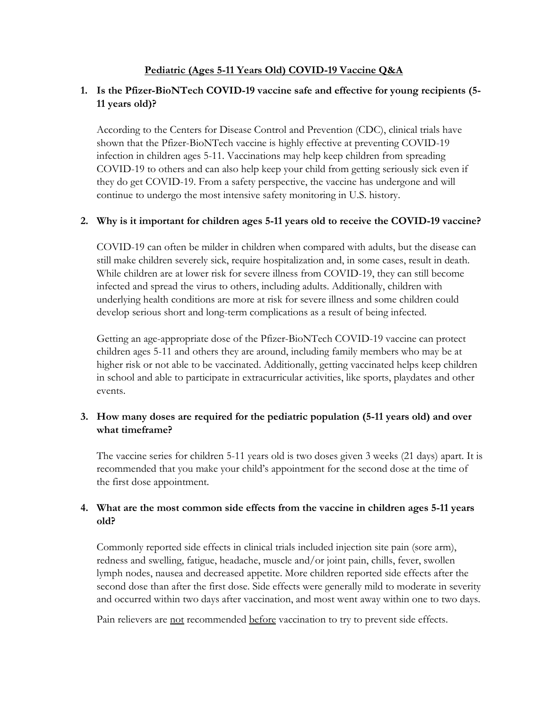## **Pediatric (Ages 5-11 Years Old) COVID-19 Vaccine Q&A**

# **1. Is the Pfizer-BioNTech COVID-19 vaccine safe and effective for young recipients (5- 11 years old)?**

According to the Centers for Disease Control and Prevention (CDC), clinical trials have shown that the Pfizer-BioNTech vaccine is highly effective at preventing COVID-19 infection in children ages 5-11. Vaccinations may help keep children from spreading COVID-19 to others and can also help keep your child from getting seriously sick even if they do get COVID-19. From a safety perspective, the vaccine has undergone and will continue to undergo the most intensive safety monitoring in U.S. history.

# **2. Why is it important for children ages 5-11 years old to receive the COVID-19 vaccine?**

COVID-19 can often be milder in children when compared with adults, but the disease can still make children severely sick, require hospitalization and, in some cases, result in death. While children are at lower risk for severe illness from COVID-19, they can still become infected and spread the virus to others, including adults. Additionally, children with underlying health conditions are more at risk for severe illness and some children could develop serious short and long-term complications as a result of being infected.

Getting an age-appropriate dose of the Pfizer-BioNTech COVID-19 vaccine can protect children ages 5-11 and others they are around, including family members who may be at higher risk or not able to be vaccinated. Additionally, getting vaccinated helps keep children in school and able to participate in extracurricular activities, like sports, playdates and other events.

# **3. How many doses are required for the pediatric population (5-11 years old) and over what timeframe?**

The vaccine series for children 5-11 years old is two doses given 3 weeks (21 days) apart. It is recommended that you make your child's appointment for the second dose at the time of the first dose appointment.

# **4. What are the most common side effects from the vaccine in children ages 5-11 years old?**

Commonly reported side effects in clinical trials included injection site pain (sore arm), redness and swelling, fatigue, headache, muscle and/or joint pain, chills, fever, swollen lymph nodes, nausea and decreased appetite. More children reported side effects after the second dose than after the first dose. Side effects were generally mild to moderate in severity and occurred within two days after vaccination, and most went away within one to two days.

Pain relievers are not recommended before vaccination to try to prevent side effects.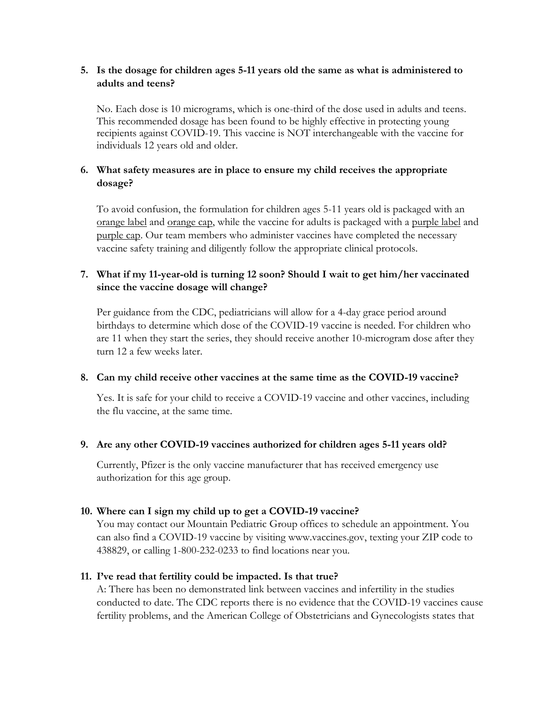## **5. Is the dosage for children ages 5-11 years old the same as what is administered to adults and teens?**

No. Each dose is 10 micrograms, which is one-third of the dose used in adults and teens. This recommended dosage has been found to be highly effective in protecting young recipients against COVID-19. This vaccine is NOT interchangeable with the vaccine for individuals 12 years old and older.

## **6. What safety measures are in place to ensure my child receives the appropriate dosage?**

To avoid confusion, the formulation for children ages 5-11 years old is packaged with an orange label and orange cap, while the vaccine for adults is packaged with a purple label and purple cap. Our team members who administer vaccines have completed the necessary vaccine safety training and diligently follow the appropriate clinical protocols.

# **7. What if my 11-year-old is turning 12 soon? Should I wait to get him/her vaccinated since the vaccine dosage will change?**

Per guidance from the CDC, pediatricians will allow for a 4-day grace period around birthdays to determine which dose of the COVID-19 vaccine is needed. For children who are 11 when they start the series, they should receive another 10-microgram dose after they turn 12 a few weeks later.

### **8. Can my child receive other vaccines at the same time as the COVID-19 vaccine?**

Yes. It is safe for your child to receive a COVID-19 vaccine and other vaccines, including the flu vaccine, at the same time.

### **9. Are any other COVID-19 vaccines authorized for children ages 5-11 years old?**

Currently, Pfizer is the only vaccine manufacturer that has received emergency use authorization for this age group.

# **10. Where can I sign my child up to get a COVID-19 vaccine?**

You may contact our Mountain Pediatric Group offices to schedule an appointment. You can also find a COVID-19 vaccine by visiting [www.vaccines.gov,](http://www.vaccines.gov/) texting your ZIP code to 438829, or calling 1-800-232-0233 to find locations near you.

# **11. I've read that fertility could be impacted. Is that true?**

A: There has been no demonstrated link between vaccines and infertility in the studies conducted to date. The CDC reports there is no evidence that the COVID-19 vaccines cause fertility problems, and the American College of Obstetricians and Gynecologists states that